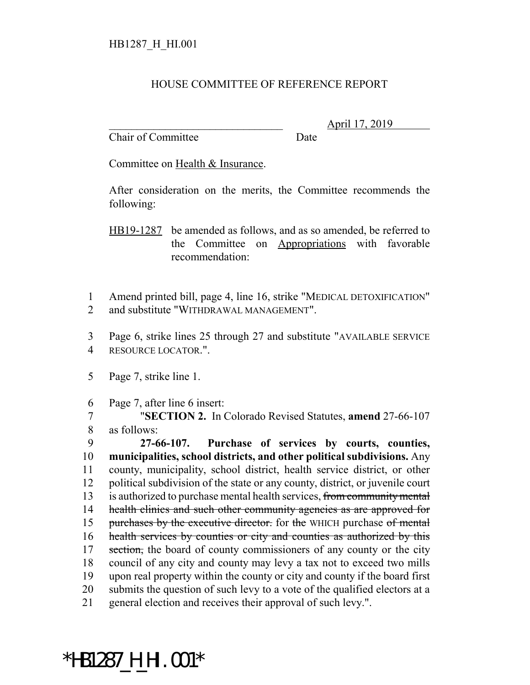## HOUSE COMMITTEE OF REFERENCE REPORT

Chair of Committee Date

\_\_\_\_\_\_\_\_\_\_\_\_\_\_\_\_\_\_\_\_\_\_\_\_\_\_\_\_\_\_\_ April 17, 2019

Committee on Health & Insurance.

After consideration on the merits, the Committee recommends the following:

HB19-1287 be amended as follows, and as so amended, be referred to the Committee on Appropriations with favorable recommendation:

1 Amend printed bill, page 4, line 16, strike "MEDICAL DETOXIFICATION" 2 and substitute "WITHDRAWAL MANAGEMENT".

3 Page 6, strike lines 25 through 27 and substitute "AVAILABLE SERVICE 4 RESOURCE LOCATOR.".

5 Page 7, strike line 1.

6 Page 7, after line 6 insert:

7 "**SECTION 2.** In Colorado Revised Statutes, **amend** 27-66-107 8 as follows:

 **27-66-107. Purchase of services by courts, counties, municipalities, school districts, and other political subdivisions.** Any county, municipality, school district, health service district, or other political subdivision of the state or any county, district, or juvenile court 13 is authorized to purchase mental health services, from community mental 14 health clinics and such other community agencies as are approved for 15 purchases by the executive director. for the WHICH purchase of mental 16 health services by counties or city and counties as authorized by this 17 section, the board of county commissioners of any county or the city council of any city and county may levy a tax not to exceed two mills upon real property within the county or city and county if the board first submits the question of such levy to a vote of the qualified electors at a general election and receives their approval of such levy.".